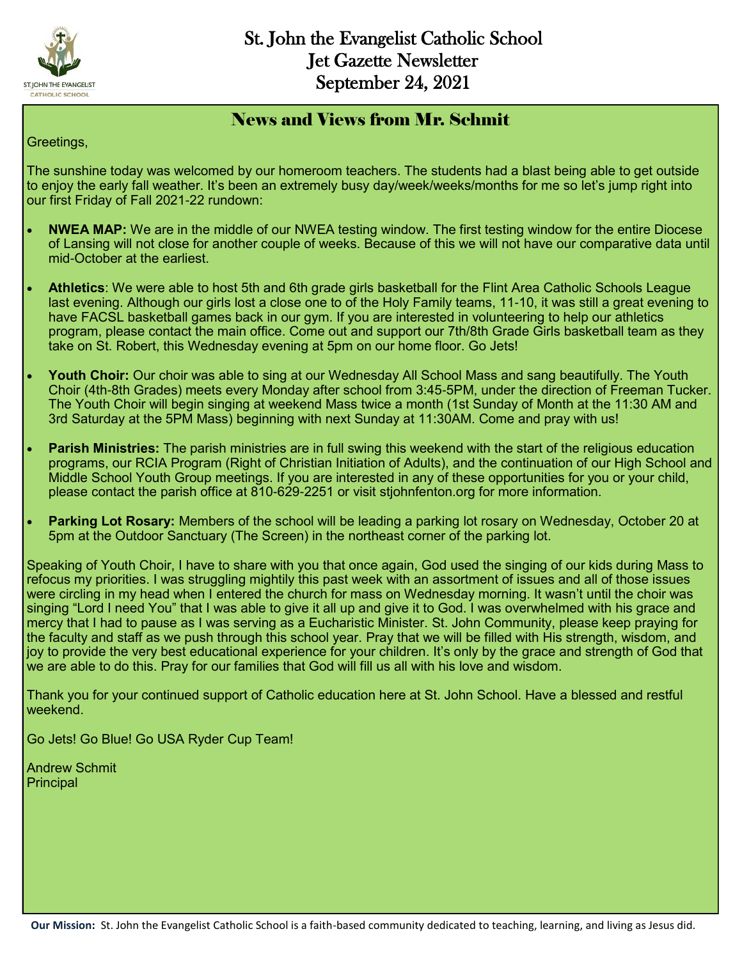

#### News and Views from Mr. Schmit

Greetings,

The sunshine today was welcomed by our homeroom teachers. The students had a blast being able to get outside to enjoy the early fall weather. It's been an extremely busy day/week/weeks/months for me so let's jump right into our first Friday of Fall 2021-22 rundown:

- **NWEA MAP:** We are in the middle of our NWEA testing window. The first testing window for the entire Diocese of Lansing will not close for another couple of weeks. Because of this we will not have our comparative data until mid-October at the earliest.
- **Athletics**: We were able to host 5th and 6th grade girls basketball for the Flint Area Catholic Schools League last evening. Although our girls lost a close one to of the Holy Family teams, 11-10, it was still a great evening to have FACSL basketball games back in our gym. If you are interested in volunteering to help our athletics program, please contact the main office. Come out and support our 7th/8th Grade Girls basketball team as they take on St. Robert, this Wednesday evening at 5pm on our home floor. Go Jets!
- **Youth Choir:** Our choir was able to sing at our Wednesday All School Mass and sang beautifully. The Youth Choir (4th-8th Grades) meets every Monday after school from 3:45-5PM, under the direction of Freeman Tucker. The Youth Choir will begin singing at weekend Mass twice a month (1st Sunday of Month at the 11:30 AM and 3rd Saturday at the 5PM Mass) beginning with next Sunday at 11:30AM. Come and pray with us!
- **Parish Ministries:** The parish ministries are in full swing this weekend with the start of the religious education programs, our RCIA Program (Right of Christian Initiation of Adults), and the continuation of our High School and Middle School Youth Group meetings. If you are interested in any of these opportunities for you or your child, please contact the parish office at 810-629-2251 or visit stjohnfenton.org for more information.
- **Parking Lot Rosary:** Members of the school will be leading a parking lot rosary on Wednesday, October 20 at 5pm at the Outdoor Sanctuary (The Screen) in the northeast corner of the parking lot.

Speaking of Youth Choir, I have to share with you that once again, God used the singing of our kids during Mass to refocus my priorities. I was struggling mightily this past week with an assortment of issues and all of those issues were circling in my head when I entered the church for mass on Wednesday morning. It wasn't until the choir was singing "Lord I need You" that I was able to give it all up and give it to God. I was overwhelmed with his grace and mercy that I had to pause as I was serving as a Eucharistic Minister. St. John Community, please keep praying for the faculty and staff as we push through this school year. Pray that we will be filled with His strength, wisdom, and joy to provide the very best educational experience for your children. It's only by the grace and strength of God that we are able to do this. Pray for our families that God will fill us all with his love and wisdom.

Thank you for your continued support of Catholic education here at St. John School. Have a blessed and restful weekend.

Go Jets! Go Blue! Go USA Ryder Cup Team!

Andrew Schmit Principal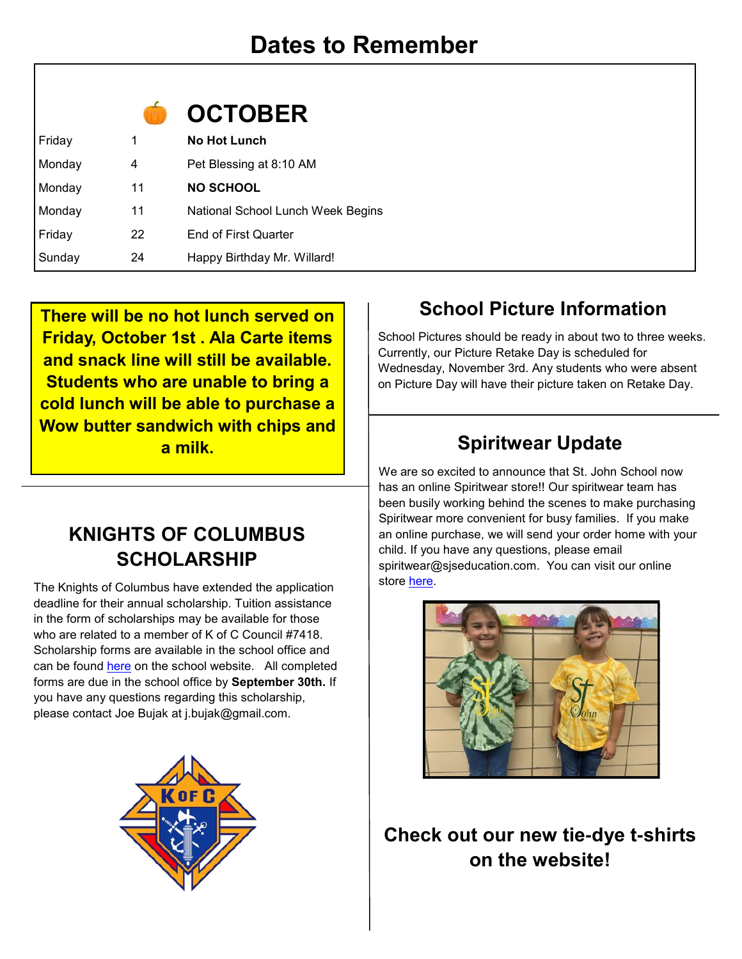

| Friday | 1  | <b>No Hot Lunch</b>               |
|--------|----|-----------------------------------|
| Monday | 4  | Pet Blessing at 8:10 AM           |
| Monday | 11 | <b>NO SCHOOL</b>                  |
| Monday | 11 | National School Lunch Week Begins |
| Friday | 22 | <b>End of First Quarter</b>       |
| Sunday | 24 | Happy Birthday Mr. Willard!       |

**There will be no hot lunch served on Friday, October 1st . Ala Carte items and snack line will still be available. Students who are unable to bring a cold lunch will be able to purchase a Wow butter sandwich with chips and a milk.** 

## **KNIGHTS OF COLUMBUS SCHOLARSHIP**

The Knights of Columbus have extended the application deadline for their annual scholarship. Tuition assistance in the form of scholarships may be available for those who are related to a member of K of C Council #7418. Scholarship forms are available in the school office and can be found [here](https://078ebf01-9dec-4f59-8254-0a67ede0f61d.filesusr.com/ugd/2a6a53_8940cd90ed5a45b8bd1f819f0b41e74a.pdf) on the school website. All completed forms are due in the school office by **September 30th.** If you have any questions regarding this scholarship, please contact Joe Bujak at j.bujak@gmail.com.



## **School Picture Information**

School Pictures should be ready in about two to three weeks. Currently, our Picture Retake Day is scheduled for Wednesday, November 3rd. Any students who were absent on Picture Day will have their picture taken on Retake Day.

## **Spiritwear Update**

We are so excited to announce that St. John School now has an online Spiritwear store!! Our spiritwear team has been busily working behind the scenes to make purchasing Spiritwear more convenient for busy families. If you make an online purchase, we will send your order home with your child. If you have any questions, please email spiritwear@sjseducation.com. You can visit our online store [here.](https://st-john-the-evangelist-catholic-spirit-wear.square.site/)



**Check out our new tie-dye t-shirts on the website!**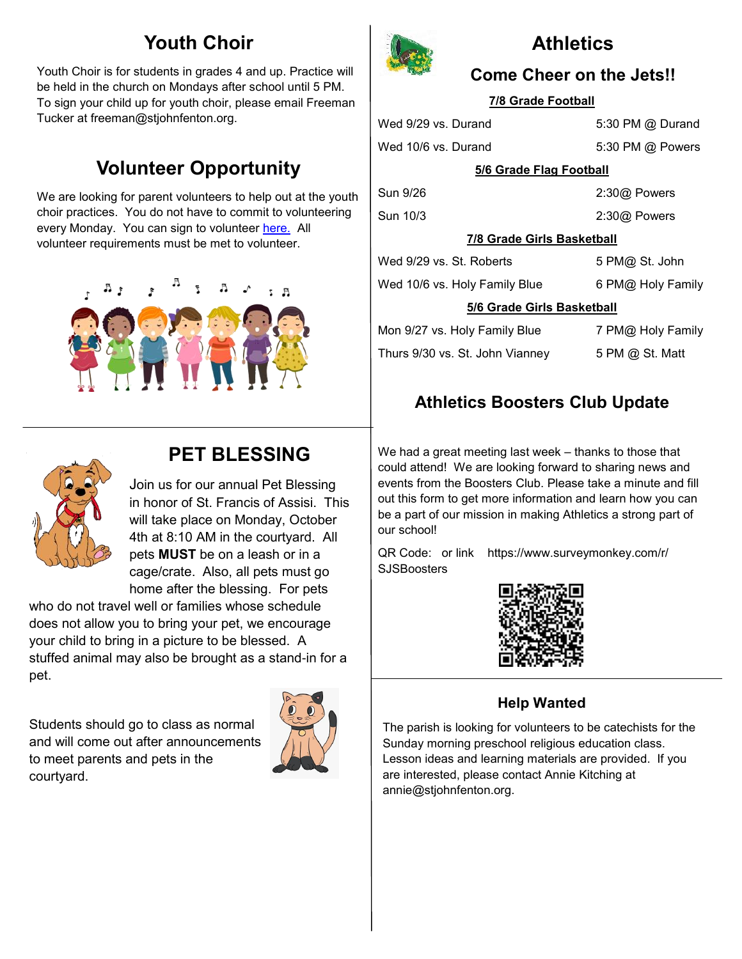## **Youth Choir**

Youth Choir is for students in grades 4 and up. Practice will be held in the church on Mondays after school until 5 PM. To sign your child up for youth choir, please email Freeman Tucker at freeman@stjohnfenton.org.

## **Volunteer Opportunity**

We are looking for parent volunteers to help out at the youth choir practices. You do not have to commit to volunteering every Monday. You can sign to volunteer [here.](https://www.signupgenius.com/go/10c0e4aa5ab23a3f58-choir) All volunteer requirements must be met to volunteer.





### **PET BLESSING**

Join us for our annual Pet Blessing in honor of St. Francis of Assisi. This will take place on Monday, October 4th at 8:10 AM in the courtyard. All pets **MUST** be on a leash or in a cage/crate. Also, all pets must go home after the blessing. For pets

who do not travel well or families whose schedule does not allow you to bring your pet, we encourage your child to bring in a picture to be blessed. A stuffed animal may also be brought as a stand-in for a pet.

Students should go to class as normal and will come out after announcements to meet parents and pets in the courtyard.





## **Athletics**

#### **Come Cheer on the Jets!!**

#### **7/8 Grade Football**

Wed 9/29 vs. Durand 5:30 PM @ Durand

Wed 10/6 vs. Durand 5:30 PM @ Powers

#### **5/6 Grade Flag Football**

Sun 9/26 2:30@ Powers Sun 10/3 2:30@ Powers

5 PM@ St. John

#### **7/8 Grade Girls Basketball**

| Wed 9/29 vs. St. Roberts |  |
|--------------------------|--|
|                          |  |

Wed 10/6 vs. Holy Family Blue 6 PM@ Holy Family

#### **5/6 Grade Girls Basketball**

| Mon 9/27 vs. Holy Family Blue   | 7 PM@ Holy Family |
|---------------------------------|-------------------|
| Thurs 9/30 vs. St. John Vianney | 5 PM @ St. Matt   |

### **Athletics Boosters Club Update**

We had a great meeting last week – thanks to those that could attend! We are looking forward to sharing news and events from the Boosters Club. Please take a minute and fill out this form to get more information and learn how you can be a part of our mission in making Athletics a strong part of our school!

QR Code: or link https://www.surveymonkey.com/r/ **SJSBoosters** 



#### **Help Wanted**

The parish is looking for volunteers to be catechists for the Sunday morning preschool religious education class. Lesson ideas and learning materials are provided. If you are interested, please contact Annie Kitching at annie@stjohnfenton.org.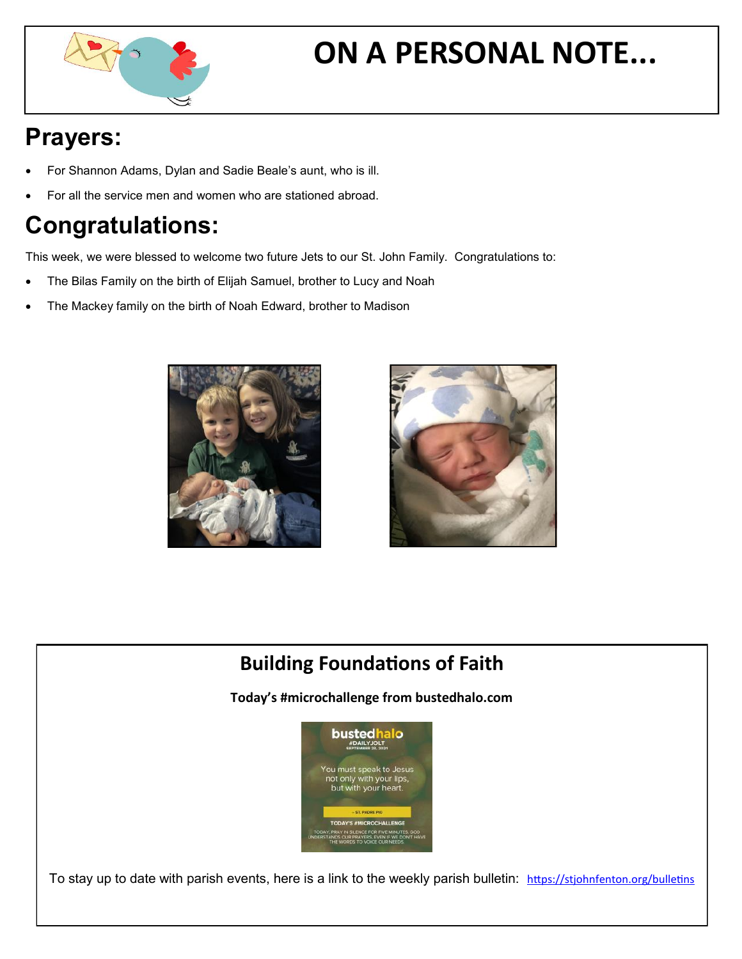

# **ON A PERSONAL NOTE...**

## **Prayers:**

- For Shannon Adams, Dylan and Sadie Beale's aunt, who is ill.
- For all the service men and women who are stationed abroad.

## **Congratulations:**

This week, we were blessed to welcome two future Jets to our St. John Family. Congratulations to:

- The Bilas Family on the birth of Elijah Samuel, brother to Lucy and Noah
- The Mackey family on the birth of Noah Edward, brother to Madison